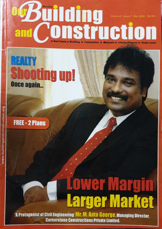### Bullding Volume-2 Insue-7 May 2009 Rs.30/ onstructio and Real Estate a Building = Construction = Materials = Interior/Exterior

### REALTY **Shooting up!** Once again...

**FREE - 2 Plans** 

# **Lower Margin** larger Market

'A Protagonist of Civil Engineering' Mr. M. Anto George, Managing Director. **Cornerstone Constructions Private Limited.**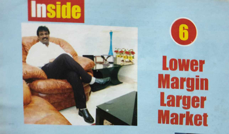



## **Lower Margin Larger Market**

R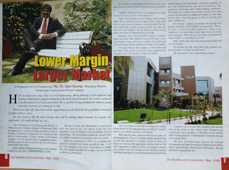

'A Protagonist of Civil Engineering' **Mr. M. Anto George,** Managing Director, Cornerstone Constructions Private Limited.

**Here is a man who sings Ode to Civil Engineering. Being himself a civil engineer and having established a name for himself in the field of construction, his words command consideration by everyone concerned. He is another** *hal'ing established a name for himself in th \_ efield of c~n~truction, his words command*   $\epsilon$ *consideration by everyone concerned. He is another living example for many a young aspirams desirous of coming up in life.* 

*He has nor only lofty ideas bw worthy suggestions as well which he has gracefully consented to share with us, here.* 

*So, let 's listen to Mr. M. Anto George who will be talking about himself, his carrier; his*   $e$ *xperience, his methodology etc, etc...* 

After obtaining my Civil Engineering Degree in an opponunity of joining a leading consultancy firm in Chennai. In pursuit of experience and exposure in the field of construction, I joined another construction company and also pursued higher ma<sup>n</sup>agement studies. All these years, the idea of going on my own was always at the back of my mind.

I started my own firm "CORNERSTONE" in 1993.

1986, from the Coimbatore Institute of Technology, I had have, all, been on my own choice. From the very My line of study and subsequently my profession beginning I was fascinated by the possibilities of Civil Engineering. And establishing a place for myself in the vast field of construction has always been my vision.

Once I had the confidence of having enough exposure, with. But that has not affected or rather was not allowed Since its inception in 1993, my company has enjoyed a balanced and sturdy growth till date. As in any other business we too have had problems to handle to affect our growth rate.

It's because we plan ahead meticulously and work judiciously to remain within the plan and never overshoot. JI

Another important factor is my adamancy to stand on my own legs and not on borrowed ones.

I have never liked the idea of working with horrowed funds. In my opinion, horrowed funds create a false fundflow in your work environment and at the end of the day. you would find yourself working not for your sake but only for your creditors. To the extent possible I never allow the luxury of doing business in credit.

Working with lowest possible margin is another major factor that adds stability to our growth rate. Lower your margin, larger will be your market. It is better that way than hiking up the margin and losing in the market. of 'Cornerstone. "

I strongly believe that margin is to be earned and not fixed. I am proud to say that I have adopted this have handled so far and on hand now? concept in all of my projects without exception.

hollow blocks to paving blocks. you name anything; we have the facility/develop one to do it ourselves. Our employees are having multi skilled training experience. This helps us in saving cost in terms of man power and increase the possibility of additional margin as well. Thus, we are able to keep our prices as low as possible and cam <sup>a</sup>margin too

Our strategy 'expand, consolidate and expand' also greatly contribute to the stability of our growth. That is, we don't believe in blind expansion. After every expansion, we consolidate it and then move on to the next expansion. With that any possibility of unexpected future crashes is eliminated or averted.

Well. I think that is about the birth and growth history.

For all that big talk, what other huge projects you.

My first project was 'constructing a church.'



'How am I able to work with low margin ma market that be your logical question at this point?

self dependence. To say, we prepare all the materials that go into the execution of a project except of course the have equipment to produce mostly everything we require for a project from bar cutting and bar bending, concrete batching to pumping, manufacturing shuttering materials,

where prices of raw materials keep escalating? wouldn't rest. In the course of my carrier I have designed and Well, that has been made possible by our policy of other building projects. Church projects fascinate me and I started with God and The Almighty God did the constructed many numbers of churches so far, besides I love doing them.

basic raw materials like aggregates, cement, steel etc. We Government and State Government Organizations, Public We have executed many projects for Central Sector undertakings, Educational Institutions, Private Industrial organizations etc.